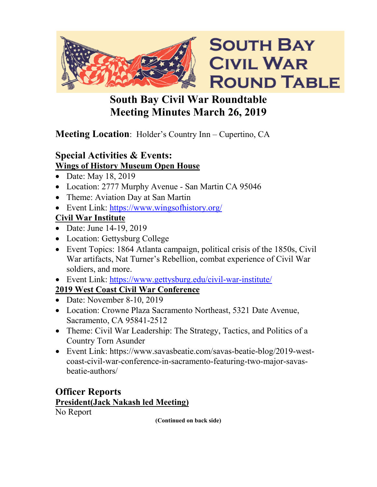

# **South Bay Civil War Roundtable Meeting Minutes March 26, 2019**

# **Meeting Location**: Holder's Country Inn – Cupertino, CA

### **Special Activities & Events: Wings of History Museum Open House**

- Date: May 18, 2019
- Location: 2777 Murphy Avenue San Martin CA 95046
- Theme: Aviation Day at San Martin
- Event Link: https://www.wingsofhistory.org/

# **Civil War Institute**

- Date: June 14-19, 2019
- Location: Gettysburg College
- Event Topics: 1864 Atlanta campaign, political crisis of the 1850s, Civil War artifacts, Nat Turner's Rebellion, combat experience of Civil War soldiers, and more.
- Event Link:<https://www.gettysburg.edu/civil-war-institute/>

# **2019 West Coast Civil War Conference**

- Date: November 8-10, 2019
- Location: Crowne Plaza Sacramento Northeast, 5321 Date Avenue, Sacramento, CA 95841-2512
- Theme: Civil War Leadership: The Strategy, Tactics, and Politics of a Country Torn Asunder
- Event Link: https://www.savasbeatie.com/savas-beatie-blog/2019-westcoast-civil-war-conference-in-sacramento-featuring-two-major-savasbeatie-authors/

# **Officer Reports President(Jack Nakash led Meeting)** No Report

**(Continued on back side)**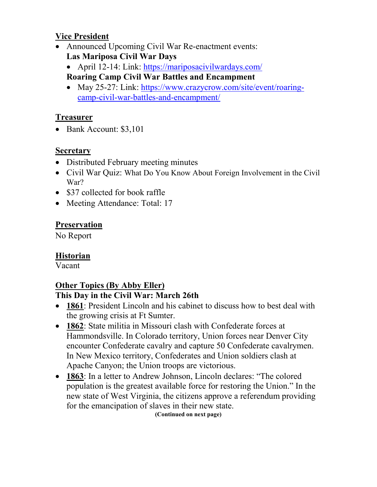#### **Vice President**

- Announced Upcoming Civil War Re-enactment events: **Las Mariposa Civil War Days** 
	- April 12-14: Link:<https://mariposacivilwardays.com/> **Roaring Camp Civil War Battles and Encampment**
	- May 25-27: Link: [https://www.crazycrow.com/site/event/roaring](https://www.crazycrow.com/site/event/roaring-camp-civil-war-battles-and-encampment/)[camp-civil-war-battles-and-encampment/](https://www.crazycrow.com/site/event/roaring-camp-civil-war-battles-and-encampment/)

#### **Treasurer**

• Bank Account: \$3,101

#### **Secretary**

- Distributed February meeting minutes
- Civil War Quiz: What Do You Know About Foreign Involvement in the Civil War?
- \$37 collected for book raffle
- Meeting Attendance: Total: 17

### **Preservation**

No Report

#### **Historian**

Vacant

# **Other Topics (By Abby Eller)**

#### **This Day in the Civil War: March 26th**

- **1861**: President Lincoln and his cabinet to discuss how to best deal with the growing crisis at Ft Sumter.
- **1862**: State militia in Missouri clash with Confederate forces at Hammondsville. In Colorado territory, Union forces near Denver City encounter Confederate cavalry and capture 50 Confederate cavalrymen. In New Mexico territory, Confederates and Union soldiers clash at Apache Canyon; the Union troops are victorious.
- **1863**: In a letter to Andrew Johnson, Lincoln declares: "The colored population is the greatest available force for restoring the Union." In the new state of West Virginia, the citizens approve a referendum providing for the emancipation of slaves in their new state.

**(Continued on next page)**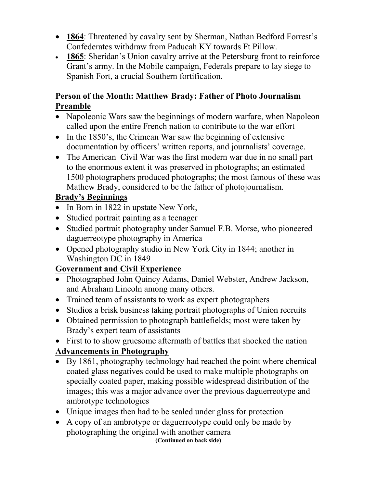- **1864**: Threatened by cavalry sent by Sherman, Nathan Bedford Forrest's Confederates withdraw from Paducah KY towards Ft Pillow.
- **1865**: Sheridan's Union cavalry arrive at the Petersburg front to reinforce Grant's army. In the Mobile campaign, Federals prepare to lay siege to Spanish Fort, a crucial Southern fortification.

#### **Person of the Month: Matthew Brady: Father of Photo Journalism Preamble**

- Napoleonic Wars saw the beginnings of modern warfare, when Napoleon called upon the entire French nation to contribute to the war effort
- In the 1850's, the Crimean War saw the beginning of extensive documentation by officers' written reports, and journalists' coverage.
- The American Civil War was the first modern war due in no small part to the enormous extent it was preserved in photographs; an estimated 1500 photographers produced photographs; the most famous of these was Mathew Brady, considered to be the father of photojournalism.

# **Brady's Beginnings**

- In Born in 1822 in upstate New York,
- Studied portrait painting as a teenager
- Studied portrait photography under Samuel F.B. Morse, who pioneered daguerreotype photography in America
- Opened photography studio in New York City in 1844; another in Washington DC in 1849

# **Government and Civil Experience**

- Photographed John Quincy Adams, Daniel Webster, Andrew Jackson, and Abraham Lincoln among many others.
- Trained team of assistants to work as expert photographers
- Studios a brisk business taking portrait photographs of Union recruits
- Obtained permission to photograph battlefields; most were taken by Brady's expert team of assistants

• First to to show gruesome aftermath of battles that shocked the nation

# **Advancements in Photography**

- By 1861, photography technology had reached the point where chemical coated glass negatives could be used to make multiple photographs on specially coated paper, making possible widespread distribution of the images; this was a major advance over the previous daguerreotype and ambrotype technologies
- Unique images then had to be sealed under glass for protection
- A copy of an ambrotype or daguerreotype could only be made by photographing the original with another camera

**(Continued on back side)**